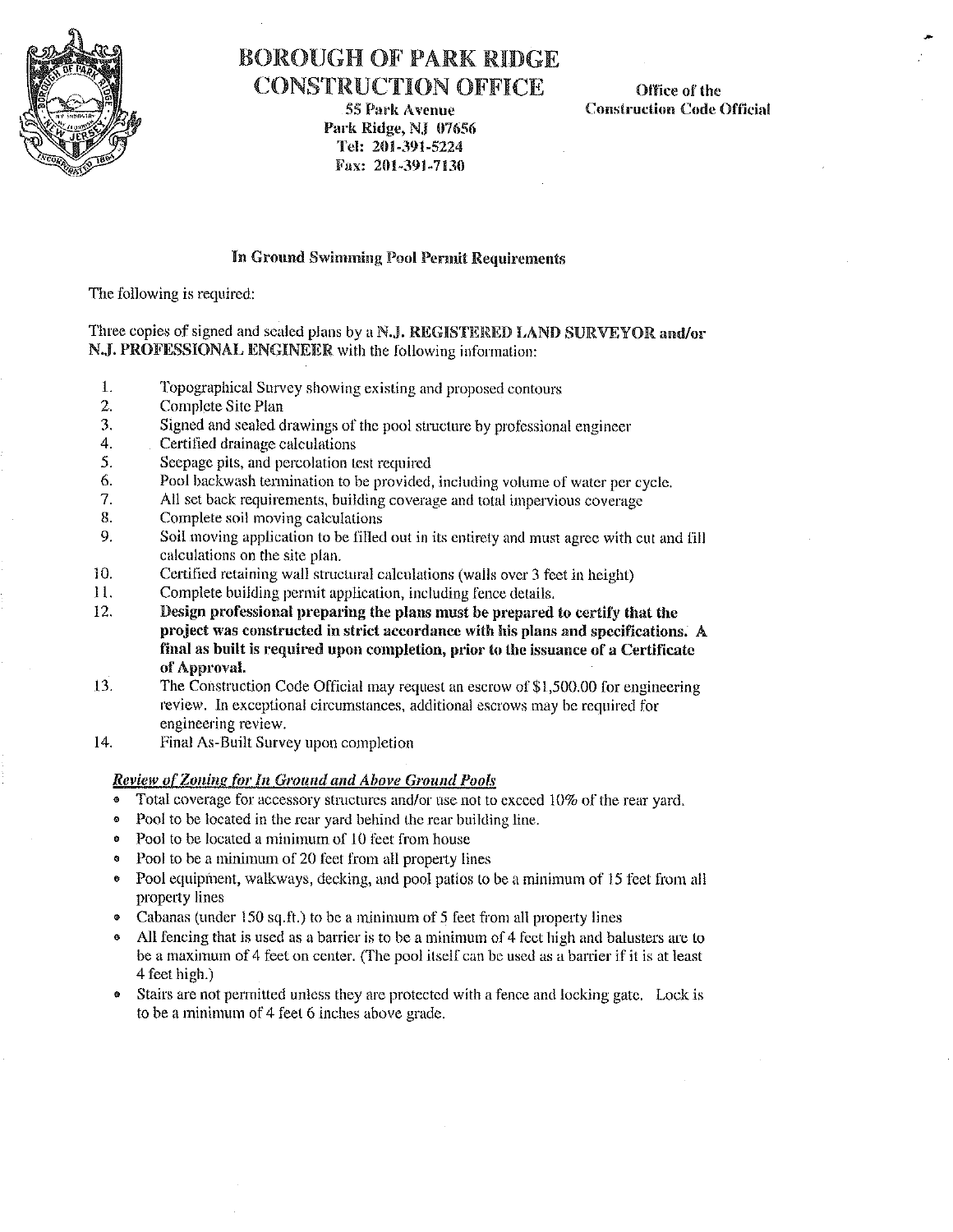

# H()ROUGH OF' PARK RIDGE CONSTRUCTION OFFICE

55 Park A venue Park Ridge, NJ 07656 Tel: 201-391-5224 Fax: 201-391-7130

Office of the Construction Code Official

### **fo Ground Swimming Pool Permit Requirements**

The following is required:

#### Three copies of signed and scaled plans by a N.J. REGISTERED LAND SURVEYOR and/or N.J. PROFESSIONAL ENGINEER with the following information:

- **1. Topographical Survey showing existing and proposed contours**
- Complete Site Plan
- 3. Signed and scaled drawings of the pool stmcture by professional engineer
- **4. Certified drainage calculations**
- 5. Seepage pits, and percolation Lest required
- **6. Pool backwash termination to be provided, including volume of water per cycle.**
- All set back requirements, building coverage and total impervious coverage
- 8. Complete soil moving calculations
- 9. Soil moving application to be filled out in its entirety and must agree with cut and fill **calculations on the site plan.**
- 10. Certified retaining wall structural calculations (walls over 3 feet **in** height)
- l l. Complete building permit application, including fence details.
- 12. **Design professional preparing the plans must be prepared to certify that the**  project was constructed in strict accordance with his plans and specifications. A **final as built is required upon completion, prior to the issuance of a Certificate of Approval.**
- 13. The Construction Code Official may request an escrow of \$1,500.00 for engineering **review. In exceptional circumstances, additional escrows may be required for**  engineering review.
- 14. Final As-Built Survey upon completion

#### *Review of" Zoning for In Ground and Above Ground Pools*

- Total coverage for accessory structures and/or use not lo exceed 10% of the rear yard.
- Pool to be located in the rear yard behind the rear building line.
- Pool to be located a minimum of 10 feet from house
- Pool to be a minimum of 20 feet from all property lines
- Pool equipment, walkways, decking, and pool patios to be a minimum of 15 feet from all property lines
- Cabanas (under 150 sq.ft.) to be a minimum of 5 feet from all property lines
- All fencing that is used as a barrier is to be a minimum of 4 feet high and balusters are to be a maximum of 4 feet on center. (The pool itself can be used as a barrier if it is at least 4 feet high.)
- Stairs are not permitted unless they are protected with a fence and locking gate. Lock is to be a minimum of 4 feet 6 inches above grade.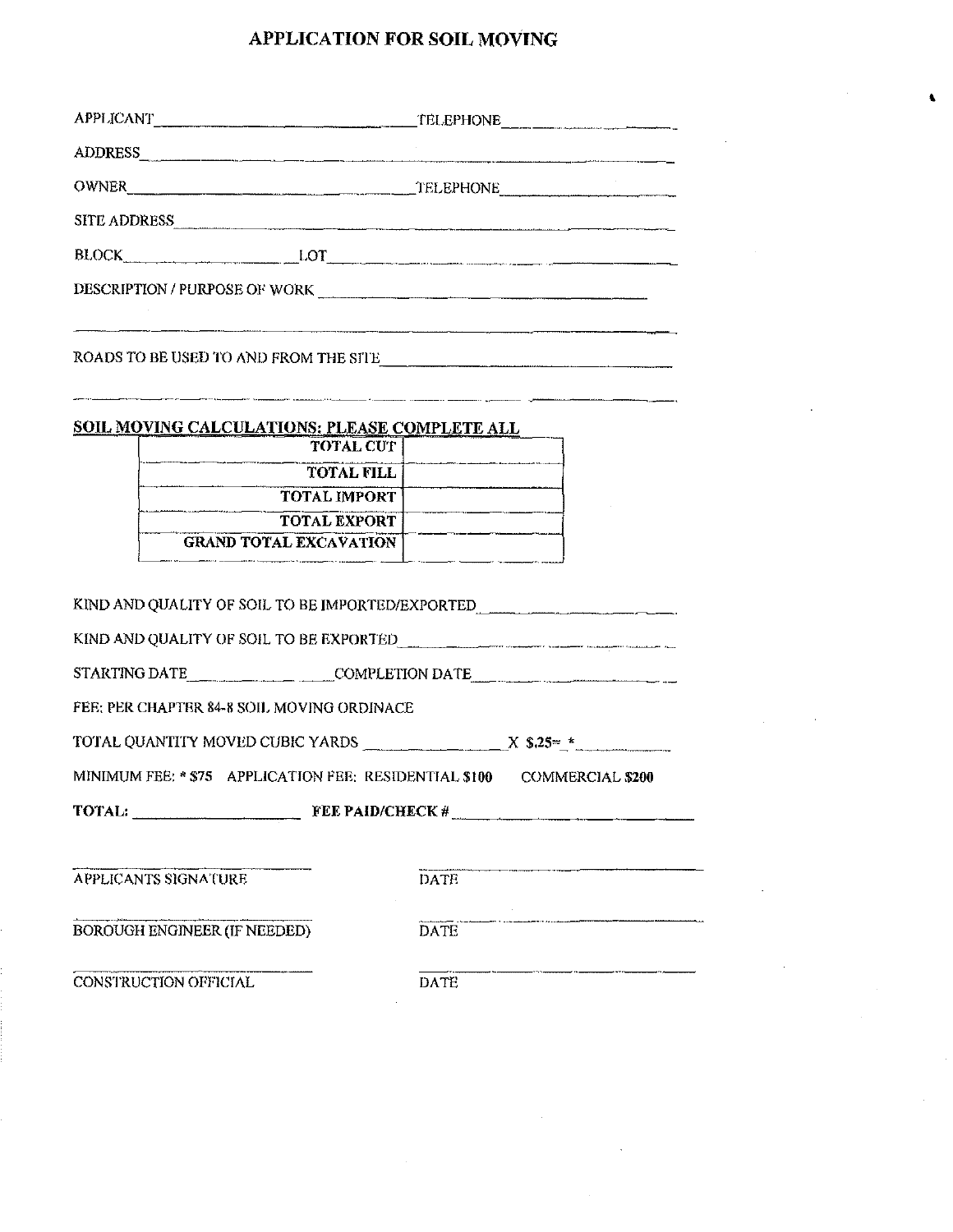# **APPLICATION FOR SOIL MOVING**

 $\ddot{\bullet}$ 

| APPLICANT FILEPHONE FELEPHONE                                                                                                                                                                                                  |  |  |  |  |  |
|--------------------------------------------------------------------------------------------------------------------------------------------------------------------------------------------------------------------------------|--|--|--|--|--|
| ADDRESS And the contract of the contract of the contract of the contract of the contract of the contract of the contract of the contract of the contract of the contract of the contract of the contract of the contract of th |  |  |  |  |  |
| OWNER TELEPHONE TELEPHONE                                                                                                                                                                                                      |  |  |  |  |  |
| SITE ADDRESS                                                                                                                                                                                                                   |  |  |  |  |  |
|                                                                                                                                                                                                                                |  |  |  |  |  |
| DESCRIPTION / PURPOSE OF WORK                                                                                                                                                                                                  |  |  |  |  |  |
|                                                                                                                                                                                                                                |  |  |  |  |  |
| ROADS TO BE USED TO AND FROM THE SITE                                                                                                                                                                                          |  |  |  |  |  |
|                                                                                                                                                                                                                                |  |  |  |  |  |
| <b>SOIL MOVING CALCULATIONS: PLEASE COMPLETE ALL</b>                                                                                                                                                                           |  |  |  |  |  |
| <b>TOTAL CUT</b>                                                                                                                                                                                                               |  |  |  |  |  |
| TOTAL FILL<br><b>TOTAL IMPORT</b>                                                                                                                                                                                              |  |  |  |  |  |
| <b>TOTAL EXPORT</b>                                                                                                                                                                                                            |  |  |  |  |  |
| <b>GRAND TOTAL EXCAVATION</b>                                                                                                                                                                                                  |  |  |  |  |  |
|                                                                                                                                                                                                                                |  |  |  |  |  |
| KIND AND QUALITY OF SOIL TO BE IMPORTED/EXPORTED                                                                                                                                                                               |  |  |  |  |  |
| KIND AND QUALITY OF SOIL TO BE EXPORTED                                                                                                                                                                                        |  |  |  |  |  |
| STARTING DATE__________________________COMPLETION DATE__________________________                                                                                                                                               |  |  |  |  |  |
| FEE: PER CHAPTER 84-8 SOIL MOVING ORDINACE                                                                                                                                                                                     |  |  |  |  |  |
| TOTAL QUANTITY MOVED CUBIC YARDS $\overline{X}$ \$.25= $\overline{Y}$                                                                                                                                                          |  |  |  |  |  |
| MINIMUM FEE: * \$75 APPLICATION FEE: RESIDENTIAL \$100 COMMERCIAL \$200                                                                                                                                                        |  |  |  |  |  |
|                                                                                                                                                                                                                                |  |  |  |  |  |
|                                                                                                                                                                                                                                |  |  |  |  |  |
| <b>DATE</b><br><b>APPLICANTS SIGNATURE</b>                                                                                                                                                                                     |  |  |  |  |  |
|                                                                                                                                                                                                                                |  |  |  |  |  |
| BOROUGH ENGINEER (IF NEEDED)<br><b>DATE</b>                                                                                                                                                                                    |  |  |  |  |  |
| CONSTRUCTION OFFICIAL<br><b>DATE</b>                                                                                                                                                                                           |  |  |  |  |  |

 $\sim$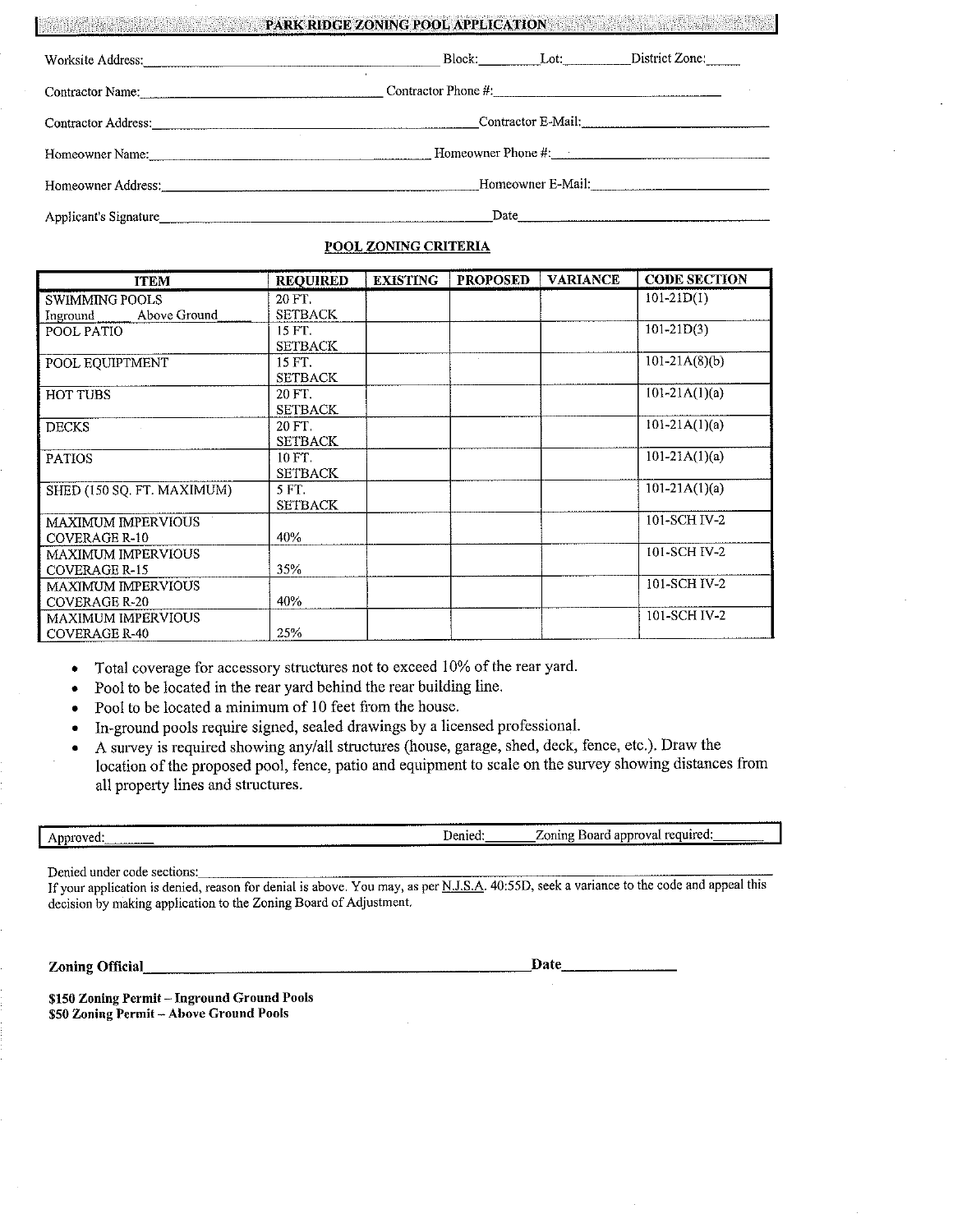|                                                                                                                                                                                                                                | PARK RIDGE ZONING POOL APPLICATION |  |                            |  |
|--------------------------------------------------------------------------------------------------------------------------------------------------------------------------------------------------------------------------------|------------------------------------|--|----------------------------|--|
| Worksite Address: North Marian Communication of the Marian Communication of the Marian Communication of the Marian Communication of the Marian Communication of the Marian Communication of the Marian Communication of the Ma |                                    |  | Block. Lot: District Zone: |  |
| Contractor Name: the contractor of the contractor of the contractor of the contractor of the contractor of the contractor of the contractor of the contractor of the contractor of the contractor of the contractor of the con | Contractor Phone #:                |  |                            |  |
|                                                                                                                                                                                                                                | Contractor E-Mail:                 |  |                            |  |
|                                                                                                                                                                                                                                |                                    |  |                            |  |
| Homeowner Address: the contract of the contract of the contract of the contract of the contract of the contract of the contract of the contract of the contract of the contract of the contract of the contract of the contrac | Homeowner E-Mail:                  |  |                            |  |
| Applicant's Signature                                                                                                                                                                                                          | Date                               |  |                            |  |

#### **POOL ZONING CRITERIA**

| <b>ITEM</b>                | <b>REOUIRED</b> | <b>EXISTING</b> | <b>PROPOSED</b> | <b>VARIANCE</b> | <b>CODE SECTION</b> |
|----------------------------|-----------------|-----------------|-----------------|-----------------|---------------------|
| <b>SWIMMING POOLS</b>      | 20 FT.          |                 |                 |                 | $101-21D(1)$        |
| Above Ground<br>Inground   | <b>SETBACK</b>  |                 |                 |                 |                     |
| POOL PATIO                 | 15 FT.          |                 |                 |                 | $101-21D(3)$        |
|                            | <b>SETBACK</b>  |                 |                 |                 |                     |
| POOL EQUIPTMENT            | 15 FT.          |                 |                 |                 | $101 - 21A(8)(b)$   |
|                            | <b>SETBACK</b>  |                 |                 |                 |                     |
| <b>HOT TUBS</b>            | 20 FT.          |                 |                 |                 | $101-21A(1)(a)$     |
|                            | <b>SETBACK</b>  |                 |                 |                 |                     |
| <b>DECKS</b>               | 20 FT.          |                 |                 |                 | $101-21A(1)(a)$     |
|                            | <b>SETBACK</b>  |                 |                 |                 |                     |
| <b>PATIOS</b>              | $10 FT$ .       |                 |                 |                 | $101-21A(1)(a)$     |
|                            | <b>SETBACK</b>  |                 |                 |                 |                     |
| SHED (150 SQ. FT. MAXIMUM) | 5 FT.           |                 |                 |                 | $101-21A(1)(a)$     |
|                            | <b>SETBACK</b>  |                 |                 |                 |                     |
| <b>MAXIMUM IMPERVIOUS</b>  |                 |                 |                 |                 | 101-SCH IV-2        |
| COVERAGE R-10              | 40%             |                 |                 |                 |                     |
| <b>MAXIMUM IMPERVIOUS</b>  |                 |                 |                 |                 | 101-SCH IV-2        |
| <b>COVERAGE R-15</b>       | 35%             |                 |                 |                 |                     |
| <b>MAXIMUM IMPERVIOUS</b>  |                 |                 |                 |                 | 101-SCH IV-2        |
| <b>COVERAGE R-20</b>       | 40%             |                 |                 |                 |                     |
| <b>MAXIMUM IMPERVIOUS</b>  |                 |                 |                 |                 | 101-SCH IV-2        |
| <b>COVERAGE R-40</b>       | 25%             |                 |                 |                 |                     |

• Total coverage for accessory structures not to exceed 10% of the rear yard.

- Pool to be located in the rear yard behind the rear building line.
- Pool to be located a minimum of 10 feet from the house.
- In-ground pools require signed, sealed drawings by a licensed professional.
- A survey is required showing any/all structures (house, garage, shed, deck, fence, etc.). Draw the location of the proposed pool, fence, patio and equipment to scale on the survey showing distances from all property lines and structures.

|                                                         | <b>A 6 5 6 6 6 6 6</b><br>---------<br>. | ----                                                                                     |
|---------------------------------------------------------|------------------------------------------|------------------------------------------------------------------------------------------|
| ADDIOVE <sup>.</sup><br>. .<br>-------------<br>------- | Jenied<br>----------<br>-----<br>.       | required:<br>. approval<br>Board<br>$\angle$ oning<br>-----------------<br>------------- |

Denied under code sections: \_\_\_\_\_\_\_\_\_\_\_\_\_\_\_\_\_\_\_\_\_\_\_\_\_\_\_\_\_\_\_\_\_ \_

If your application is denied, reason for denial is above. You may, as per N.J.S.A. 40:55D, seek a variance to the code and appeal this decision by making application to the Zoning Board of Adjustment.

**Zoning Official, \_\_\_\_\_\_\_\_\_\_\_\_\_\_\_\_\_\_\_\_\_\_ ~Date \_\_\_\_\_\_ \_** 

\$150 Zoning Permit - Inground Ground Pools \$50 Zoning Permit - Above Ground Pools